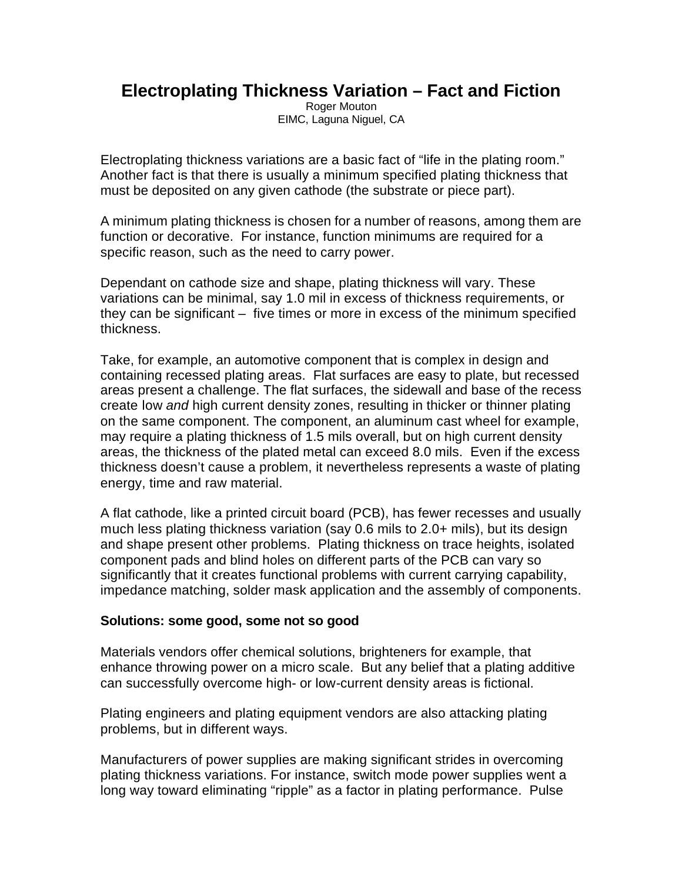## **Electroplating Thickness Variation – Fact and Fiction**

Roger Mouton EIMC, Laguna Niguel, CA

Electroplating thickness variations are a basic fact of "life in the plating room." Another fact is that there is usually a minimum specified plating thickness that must be deposited on any given cathode (the substrate or piece part).

A minimum plating thickness is chosen for a number of reasons, among them are function or decorative. For instance, function minimums are required for a specific reason, such as the need to carry power.

Dependant on cathode size and shape, plating thickness will vary. These variations can be minimal, say 1.0 mil in excess of thickness requirements, or they can be significant – five times or more in excess of the minimum specified thickness.

Take, for example, an automotive component that is complex in design and containing recessed plating areas. Flat surfaces are easy to plate, but recessed areas present a challenge. The flat surfaces, the sidewall and base of the recess create low *and* high current density zones, resulting in thicker or thinner plating on the same component. The component, an aluminum cast wheel for example, may require a plating thickness of 1.5 mils overall, but on high current density areas, the thickness of the plated metal can exceed 8.0 mils. Even if the excess thickness doesn't cause a problem, it nevertheless represents a waste of plating energy, time and raw material.

A flat cathode, like a printed circuit board (PCB), has fewer recesses and usually much less plating thickness variation (say 0.6 mils to 2.0+ mils), but its design and shape present other problems. Plating thickness on trace heights, isolated component pads and blind holes on different parts of the PCB can vary so significantly that it creates functional problems with current carrying capability, impedance matching, solder mask application and the assembly of components.

## **Solutions: some good, some not so good**

Materials vendors offer chemical solutions, brighteners for example, that enhance throwing power on a micro scale. But any belief that a plating additive can successfully overcome high- or low-current density areas is fictional.

Plating engineers and plating equipment vendors are also attacking plating problems, but in different ways.

Manufacturers of power supplies are making significant strides in overcoming plating thickness variations. For instance, switch mode power supplies went a long way toward eliminating "ripple" as a factor in plating performance. Pulse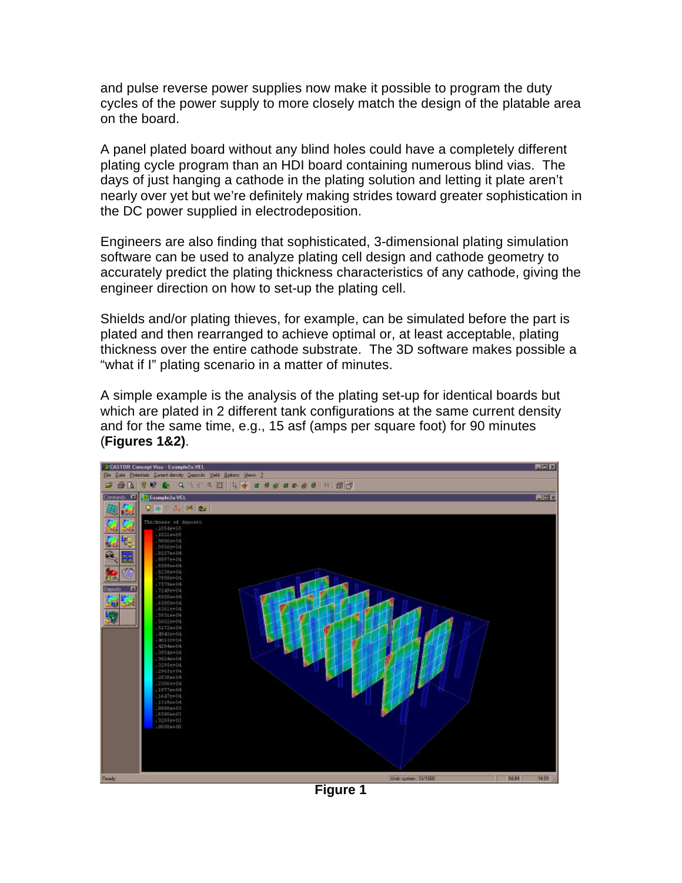and pulse reverse power supplies now make it possible to program the duty cycles of the power supply to more closely match the design of the platable area on the board.

A panel plated board without any blind holes could have a completely different plating cycle program than an HDI board containing numerous blind vias. The days of just hanging a cathode in the plating solution and letting it plate aren't nearly over yet but we're definitely making strides toward greater sophistication in the DC power supplied in electrodeposition.

Engineers are also finding that sophisticated, 3-dimensional plating simulation software can be used to analyze plating cell design and cathode geometry to accurately predict the plating thickness characteristics of any cathode, giving the engineer direction on how to set-up the plating cell.

Shields and/or plating thieves, for example, can be simulated before the part is plated and then rearranged to achieve optimal or, at least acceptable, plating thickness over the entire cathode substrate. The 3D software makes possible a "what if I" plating scenario in a matter of minutes.

A simple example is the analysis of the plating set-up for identical boards but which are plated in 2 different tank configurations at the same current density and for the same time, e.g., 15 asf (amps per square foot) for 90 minutes (**Figures 1&2)**.



**Figure 1**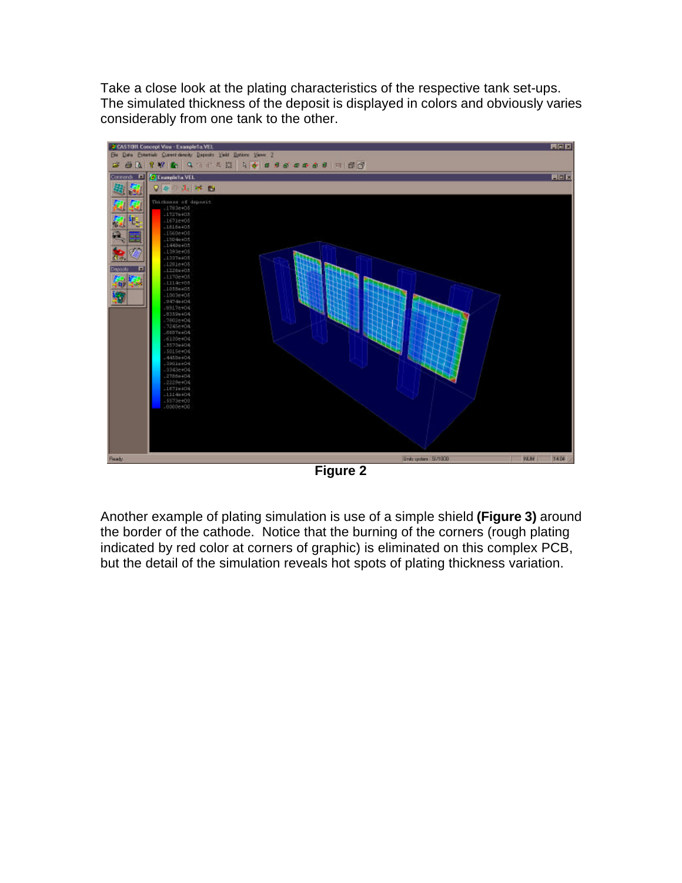Take a close look at the plating characteristics of the respective tank set-ups. The simulated thickness of the deposit is displayed in colors and obviously varies considerably from one tank to the other.



**Figure 2**

Another example of plating simulation is use of a simple shield **(Figure 3)** around the border of the cathode. Notice that the burning of the corners (rough plating indicated by red color at corners of graphic) is eliminated on this complex PCB, but the detail of the simulation reveals hot spots of plating thickness variation.